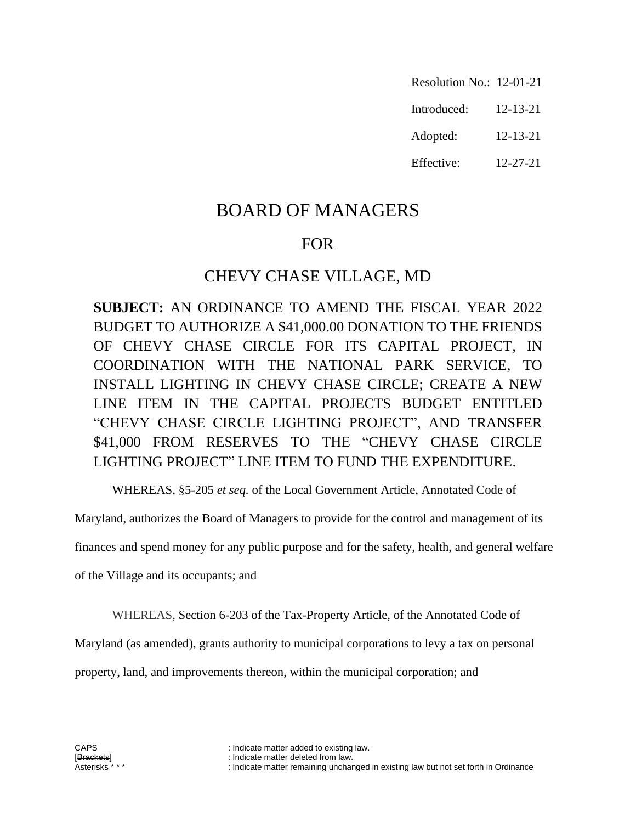- Resolution No.: 12-01-21
- Introduced: 12-13-21
- Adopted: 12-13-21
- Effective: 12-27-21

# BOARD OF MANAGERS

## FOR

### CHEVY CHASE VILLAGE, MD

**SUBJECT:** AN ORDINANCE TO AMEND THE FISCAL YEAR 2022 BUDGET TO AUTHORIZE A \$41,000.00 DONATION TO THE FRIENDS OF CHEVY CHASE CIRCLE FOR ITS CAPITAL PROJECT, IN COORDINATION WITH THE NATIONAL PARK SERVICE, TO INSTALL LIGHTING IN CHEVY CHASE CIRCLE; CREATE A NEW LINE ITEM IN THE CAPITAL PROJECTS BUDGET ENTITLED "CHEVY CHASE CIRCLE LIGHTING PROJECT", AND TRANSFER \$41,000 FROM RESERVES TO THE "CHEVY CHASE CIRCLE LIGHTING PROJECT" LINE ITEM TO FUND THE EXPENDITURE.

WHEREAS, §5-205 *et seq.* of the Local Government Article, Annotated Code of

Maryland, authorizes the Board of Managers to provide for the control and management of its

finances and spend money for any public purpose and for the safety, health, and general welfare

of the Village and its occupants; and

WHEREAS, Section 6-203 of the Tax-Property Article, of the Annotated Code of

Maryland (as amended), grants authority to municipal corporations to levy a tax on personal

property, land, and improvements thereon, within the municipal corporation; and

CAPS : Indicate matter added to existing law.

<sup>[</sup>Brackets] : Indicate matter deleted from law. : Indicate matter remaining unchanged in existing law but not set forth in Ordinance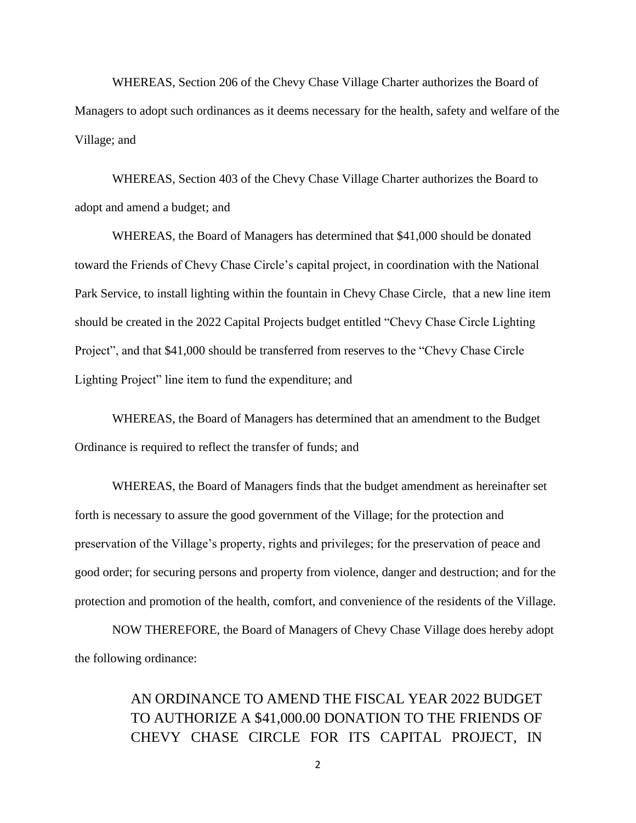WHEREAS, Section 206 of the Chevy Chase Village Charter authorizes the Board of Managers to adopt such ordinances as it deems necessary for the health, safety and welfare of the Village; and

WHEREAS, Section 403 of the Chevy Chase Village Charter authorizes the Board to adopt and amend a budget; and

WHEREAS, the Board of Managers has determined that \$41,000 should be donated toward the Friends of Chevy Chase Circle's capital project, in coordination with the National Park Service, to install lighting within the fountain in Chevy Chase Circle, that a new line item should be created in the 2022 Capital Projects budget entitled "Chevy Chase Circle Lighting Project", and that \$41,000 should be transferred from reserves to the "Chevy Chase Circle Lighting Project" line item to fund the expenditure; and

WHEREAS, the Board of Managers has determined that an amendment to the Budget Ordinance is required to reflect the transfer of funds; and

WHEREAS, the Board of Managers finds that the budget amendment as hereinafter set forth is necessary to assure the good government of the Village; for the protection and preservation of the Village's property, rights and privileges; for the preservation of peace and good order; for securing persons and property from violence, danger and destruction; and for the protection and promotion of the health, comfort, and convenience of the residents of the Village.

NOW THEREFORE, the Board of Managers of Chevy Chase Village does hereby adopt the following ordinance:

## AN ORDINANCE TO AMEND THE FISCAL YEAR 2022 BUDGET TO AUTHORIZE A \$41,000.00 DONATION TO THE FRIENDS OF CHEVY CHASE CIRCLE FOR ITS CAPITAL PROJECT, IN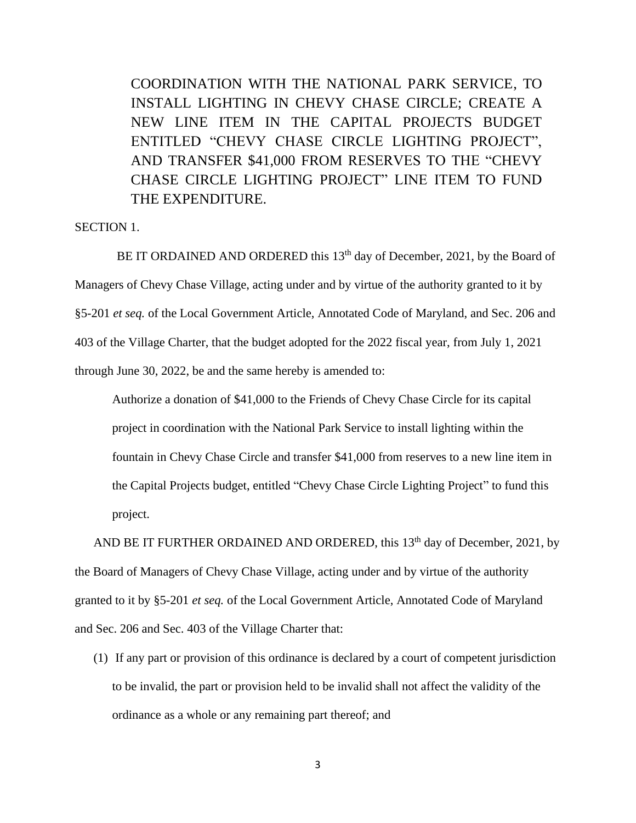COORDINATION WITH THE NATIONAL PARK SERVICE, TO INSTALL LIGHTING IN CHEVY CHASE CIRCLE; CREATE A NEW LINE ITEM IN THE CAPITAL PROJECTS BUDGET ENTITLED "CHEVY CHASE CIRCLE LIGHTING PROJECT", AND TRANSFER \$41,000 FROM RESERVES TO THE "CHEVY CHASE CIRCLE LIGHTING PROJECT" LINE ITEM TO FUND THE EXPENDITURE.

#### SECTION 1.

BE IT ORDAINED AND ORDERED this  $13<sup>th</sup>$  day of December, 2021, by the Board of Managers of Chevy Chase Village, acting under and by virtue of the authority granted to it by §5-201 *et seq.* of the Local Government Article, Annotated Code of Maryland, and Sec. 206 and 403 of the Village Charter, that the budget adopted for the 2022 fiscal year, from July 1, 2021 through June 30, 2022, be and the same hereby is amended to:

Authorize a donation of \$41,000 to the Friends of Chevy Chase Circle for its capital project in coordination with the National Park Service to install lighting within the fountain in Chevy Chase Circle and transfer \$41,000 from reserves to a new line item in the Capital Projects budget, entitled "Chevy Chase Circle Lighting Project" to fund this project.

AND BE IT FURTHER ORDAINED AND ORDERED, this  $13<sup>th</sup>$  day of December, 2021, by the Board of Managers of Chevy Chase Village, acting under and by virtue of the authority granted to it by §5-201 *et seq.* of the Local Government Article, Annotated Code of Maryland and Sec. 206 and Sec. 403 of the Village Charter that:

(1) If any part or provision of this ordinance is declared by a court of competent jurisdiction to be invalid, the part or provision held to be invalid shall not affect the validity of the ordinance as a whole or any remaining part thereof; and

3